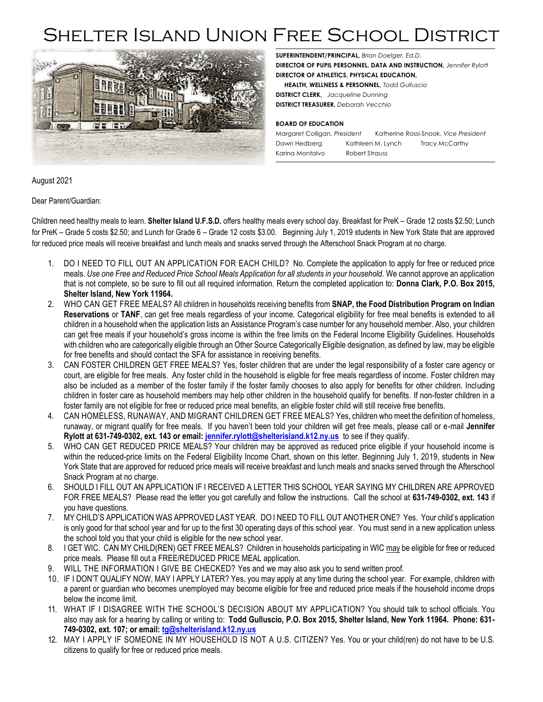## *\_\_\_\_\_\_\_\_\_\_\_\_\_\_\_\_\_\_\_\_\_\_\_\_\_\_\_\_\_\_\_\_\_\_\_\_\_\_\_\_\_\_\_\_\_* Shelter Island Union Free School District



**SUPERINTENDENT/PRINCIPAL,** *Brian Doelger, Ed.D.* 

**DIRECTOR OF PUPIL PERSONNEL, DATA AND INSTRUCTION,** *Jennifer Rylott* **DIRECTOR OF ATHLETICS, PHYSICAL EDUCATION,**

 **HEALTH, WELLNESS & PERSONNEL,** *Todd Gulluscio*

**DISTRICT CLERK,** *Jacqueline Dunning* **DISTRICT TREASURER,** *Deborah Vecchio*

#### **BOARD OF EDUCATION**

Margaret Colligan, *President* Katherine Rossi-Snook, *Vice President* Dawn Hedberg Kathleen M. Lynch Tracy McCarthy Karina Montalvo Robert Strauss *\_\_\_\_\_\_\_\_\_\_\_\_\_\_\_\_\_\_\_\_\_\_\_\_\_\_\_\_\_\_\_\_\_\_\_\_\_\_\_\_\_\_\_\_\_*

August 2021

Dear Parent/Guardian:

Children need healthy meals to learn. **Shelter Island U.F.S.D.** offers healthy meals every school day. Breakfast for PreK – Grade 12 costs \$2.50; Lunch for PreK – Grade 5 costs \$2.50; and Lunch for Grade 6 – Grade 12 costs \$3.00. Beginning July 1, 2019 students in New York State that are approved for reduced price meals will receive breakfast and lunch meals and snacks served through the Afterschool Snack Program at no charge.

- 1. DO I NEED TO FILL OUT AN APPLICATION FOR EACH CHILD? No. Complete the application to apply for free or reduced price meals. *Use one Free and Reduced Price School Meals Application for all students in your household.* We cannot approve an application that is not complete, so be sure to fill out all required information. Return the completed application to: **Donna Clark, P.O. Box 2015, Shelter Island, New York 11964.**
- 2. WHO CAN GET FREE MEALS? All children in households receiving benefits from **SNAP, the Food Distribution Program on Indian Reservations** or **TANF**, can get free meals regardless of your income. Categorical eligibility for free meal benefits is extended to all children in a household when the application lists an Assistance Program's case number for any household member. Also, your children can get free meals if your household's gross income is within the free limits on the Federal Income Eligibility Guidelines. Households with children who are categorically eligible through an Other Source Categorically Eligible designation, as defined by law, may be eligible for free benefits and should contact the SFA for assistance in receiving benefits.
- 3. CAN FOSTER CHILDREN GET FREE MEALS? Yes, foster children that are under the legal responsibility of a foster care agency or court, are eligible for free meals. Any foster child in the household is eligible for free meals regardless of income. Foster children may also be included as a member of the foster family if the foster family chooses to also apply for benefits for other children. Including children in foster care as household members may help other children in the household qualify for benefits. If non-foster children in a foster family are not eligible for free or reduced price meal benefits, an eligible foster child will still receive free benefits.
- 4. CAN HOMELESS, RUNAWAY, AND MIGRANT CHILDREN GET FREE MEALS? Yes, children who meet the definition of homeless, runaway, or migrant qualify for free meals. If you haven't been told your children will get free meals, please call or e-mail **Jennifer Rylott at 631-749-0302, ext. 143 or email[: jennifer.rylott@shelterisland.k12.ny.us](mailto:jennifer.rylott@shelterisland.k12.ny.us)** to see if they qualify.
- 5. WHO CAN GET REDUCED PRICE MEALS? Your children may be approved as reduced price eligible if your household income is within the reduced-price limits on the Federal Eligibility Income Chart, shown on this letter. Beginning July 1, 2019, students in New York State that are approved for reduced price meals will receive breakfast and lunch meals and snacks served through the Afterschool Snack Program at no charge.
- 6. SHOULD I FILL OUT AN APPLICATION IF I RECEIVED A LETTER THIS SCHOOL YEAR SAYING MY CHILDREN ARE APPROVED FOR FREE MEALS? Please read the letter you got carefully and follow the instructions. Call the school at **631-749-0302, ext. 143** if you have questions.
- 7. MY CHILD'S APPLICATION WAS APPROVED LAST YEAR. DO I NEED TO FILL OUT ANOTHER ONE? Yes. Your child's application is only good for that school year and for up to the first 30 operating days of this school year. You must send in a new application unless the school told you that your child is eligible for the new school year.
- 8. I GET WIC. CAN MY CHILD(REN) GET FREE MEALS? Children in households participating in WIC may be eligible for free or reduced price meals. Please fill out a FREE/REDUCED PRICE MEAL application.
- 9. WILL THE INFORMATION I GIVE BE CHECKED? Yes and we may also ask you to send written proof.
- 10. IF I DON'T QUALIFY NOW, MAY I APPLY LATER? Yes, you may apply at any time during the school year. For example, children with a parent or guardian who becomes unemployed may become eligible for free and reduced price meals if the household income drops below the income limit.
- 11. WHAT IF I DISAGREE WITH THE SCHOOL'S DECISION ABOUT MY APPLICATION? You should talk to school officials. You also may ask for a hearing by calling or writing to: **Todd Gulluscio, P.O. Box 2015, Shelter Island, New York 11964. Phone: 631- 749-0302, ext. 107; or email: [tg@shelterisland.k12.ny.us](mailto:tg@shelterisland.k12.ny.us)**
- 12. MAY I APPLY IF SOMEONE IN MY HOUSEHOLD IS NOT A U.S. CITIZEN? Yes. You or your child(ren) do not have to be U.S. citizens to qualify for free or reduced price meals.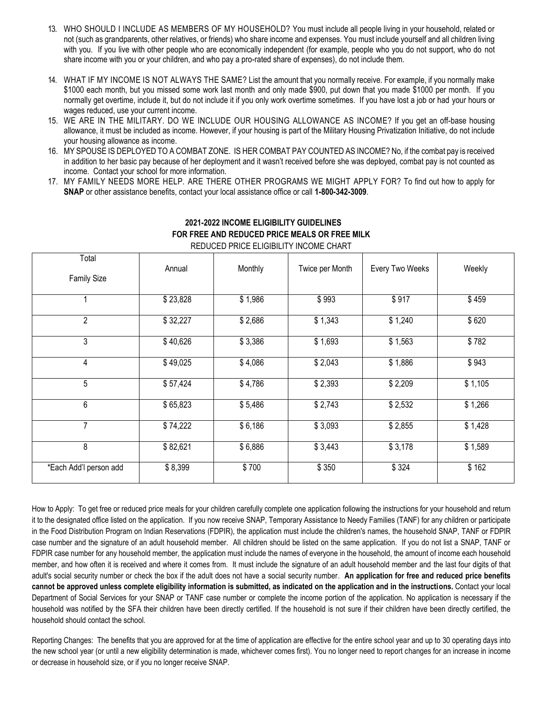- 13. WHO SHOULD I INCLUDE AS MEMBERS OF MY HOUSEHOLD? You must include all people living in your household, related or not (such as grandparents, other relatives, or friends) who share income and expenses. You must include yourself and all children living with you. If you live with other people who are economically independent (for example, people who you do not support, who do not share income with you or your children, and who pay a pro-rated share of expenses), do not include them.
- 14. WHAT IF MY INCOME IS NOT ALWAYS THE SAME? List the amount that you normally receive. For example, if you normally make \$1000 each month, but you missed some work last month and only made \$900, put down that you made \$1000 per month. If you normally get overtime, include it, but do not include it if you only work overtime sometimes. If you have lost a job or had your hours or wages reduced, use your current income.
- 15. WE ARE IN THE MILITARY. DO WE INCLUDE OUR HOUSING ALLOWANCE AS INCOME? If you get an off-base housing allowance, it must be included as income. However, if your housing is part of the Military Housing Privatization Initiative, do not include your housing allowance as income.
- 16. MY SPOUSE IS DEPLOYED TO A COMBAT ZONE. IS HER COMBAT PAY COUNTED AS INCOME? No, if the combat pay is received in addition to her basic pay because of her deployment and it wasn't received before she was deployed, combat pay is not counted as income. Contact your school for more information.
- 17. MY FAMILY NEEDS MORE HELP. ARE THERE OTHER PROGRAMS WE MIGHT APPLY FOR? To find out how to apply for **SNAP** or other assistance benefits, contact your local assistance office or call **1-800-342-3009**.

| Total                  | Annual   | Monthly | Twice per Month | Every Two Weeks | Weekly  |
|------------------------|----------|---------|-----------------|-----------------|---------|
| <b>Family Size</b>     |          |         |                 |                 |         |
|                        | \$23,828 | \$1,986 | \$993           | \$917           | \$459   |
| $\overline{2}$         | \$32,227 | \$2,686 | \$1,343         | \$1,240         | \$620   |
| 3                      | \$40,626 | \$3,386 | \$1,693         | \$1,563         | \$782   |
| 4                      | \$49,025 | \$4,086 | \$2,043         | \$1,886         | \$943   |
| 5                      | \$57,424 | \$4,786 | \$2,393         | \$2,209         | \$1,105 |
| 6                      | \$65,823 | \$5,486 | \$2,743         | \$2,532         | \$1,266 |
| $\overline{7}$         | \$74,222 | \$6,186 | \$3,093         | \$2,855         | \$1,428 |
| 8                      | \$82,621 | \$6,886 | \$3,443         | \$3,178         | \$1,589 |
| *Each Add'l person add | \$8,399  | \$700   | \$350           | \$324           | \$162   |

## **2021-2022 INCOME ELIGIBILITY GUIDELINES FOR FREE AND REDUCED PRICE MEALS OR FREE MILK**

REDUCED PRICE ELIGIBILITY INCOME CHART

How to Apply: To get free or reduced price meals for your children carefully complete one application following the instructions for your household and return it to the designated office listed on the application. If you now receive SNAP, Temporary Assistance to Needy Families (TANF) for any children or participate in the Food Distribution Program on Indian Reservations (FDPIR), the application must include the children's names, the household SNAP, TANF or FDPIR case number and the signature of an adult household member. All children should be listed on the same application. If you do not list a SNAP, TANF or FDPIR case number for any household member, the application must include the names of everyone in the household, the amount of income each household member, and how often it is received and where it comes from. It must include the signature of an adult household member and the last four digits of that adult's social security number or check the box if the adult does not have a social security number. **An application for free and reduced price benefits cannot be approved unless complete eligibility information is submitted, as indicated on the application and in the instructions.** Contact your local Department of Social Services for your SNAP or TANF case number or complete the income portion of the application. No application is necessary if the household was notified by the SFA their children have been directly certified. If the household is not sure if their children have been directly certified, the household should contact the school.

Reporting Changes: The benefits that you are approved for at the time of application are effective for the entire school year and up to 30 operating days into the new school year (or until a new eligibility determination is made, whichever comes first). You no longer need to report changes for an increase in income or decrease in household size, or if you no longer receive SNAP.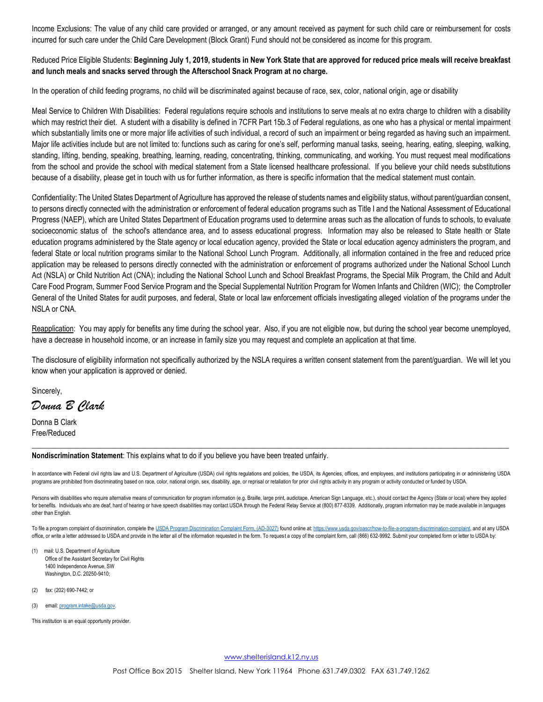Income Exclusions: The value of any child care provided or arranged, or any amount received as payment for such child care or reimbursement for costs incurred for such care under the Child Care Development (Block Grant) Fund should not be considered as income for this program.

### Reduced Price Eligible Students: **Beginning July 1, 2019, students in New York State that are approved for reduced price meals will receive breakfast and lunch meals and snacks served through the Afterschool Snack Program at no charge.**

In the operation of child feeding programs, no child will be discriminated against because of race, sex, color, national origin, age or disability

Meal Service to Children With Disabilities: Federal regulations require schools and institutions to serve meals at no extra charge to children with a disability which may restrict their diet. A student with a disability is defined in 7CFR Part 15b.3 of Federal regulations, as one who has a physical or mental impairment which substantially limits one or more major life activities of such individual, a record of such an impairment or being regarded as having such an impairment. Major life activities include but are not limited to: functions such as caring for one's self, performing manual tasks, seeing, hearing, eating, sleeping, walking, standing, lifting, bending, speaking, breathing, learning, reading, concentrating, thinking, communicating, and working. You must request meal modifications from the school and provide the school with medical statement from a State licensed healthcare professional. If you believe your child needs substitutions because of a disability, please get in touch with us for further information, as there is specific information that the medical statement must contain.

Confidentiality: The United States Department of Agriculture has approved the release of students names and eligibility status, without parent/guardian consent, to persons directly connected with the administration or enforcement of federal education programs such as Title I and the National Assessment of Educational Progress (NAEP), which are United States Department of Education programs used to determine areas such as the allocation of funds to schools, to evaluate socioeconomic status of the school's attendance area, and to assess educational progress. Information may also be released to State health or State education programs administered by the State agency or local education agency, provided the State or local education agency administers the program, and federal State or local nutrition programs similar to the National School Lunch Program. Additionally, all information contained in the free and reduced price application may be released to persons directly connected with the administration or enforcement of programs authorized under the National School Lunch Act (NSLA) or Child Nutrition Act (CNA); including the National School Lunch and School Breakfast Programs, the Special Milk Program, the Child and Adult Care Food Program, Summer Food Service Program and the Special Supplemental Nutrition Program for Women Infants and Children (WIC); the Comptroller General of the United States for audit purposes, and federal, State or local law enforcement officials investigating alleged violation of the programs under the NSLA or CNA.

Reapplication: You may apply for benefits any time during the school year. Also, if you are not eligible now, but during the school year become unemployed, have a decrease in household income, or an increase in family size you may request and complete an application at that time.

The disclosure of eligibility information not specifically authorized by the NSLA requires a written consent statement from the parent/guardian. We will let you know when your application is approved or denied.

Sincerely,

*Donna B Clark*

Donna B Clark Free/Reduced

**Nondiscrimination Statement**: This explains what to do if you believe you have been treated unfairly.

In accordance with Federal civil rights law and U.S. Department of Agriculture (USDA) civil rights regulations and policies, the USDA, its Agencies, offices, and employees, and institutions participating in or administerin programs are prohibited from discriminating based on race, color, national origin, sex, disability, age, or reprisal or retaliation for prior civil rights activity in any program or activity conducted or funded by USDA.

 $\_$  , and the set of the set of the set of the set of the set of the set of the set of the set of the set of the set of the set of the set of the set of the set of the set of the set of the set of the set of the set of th

Persons with disabilities who require alternative means of communication for program information (e.g. Braille, large print, audiotape, American Sign Language, etc.), should contact the Agency (State or local) where they a for benefits. Individuals who are deaf, hard of hearing or have speech disabilities may contact USDA through the Federal Relay Service at (800) 877-8339. Additionally, program information may be made available in languages other than English.

To file a program complaint of discrimination, complete the [USDA Program Discrimination Complaint Form, \(AD-3027\)](https://www.usda.gov/sites/default/files/documents/USDA-OASCR%20P-Complaint-Form-0508-0002-508-11-28-17Fax2Mail.pdf) found online at: [https://www.usda.gov/oascr/how-to-file-a-program-discrimination-complaint,](https://www.usda.gov/oascr/how-to-file-a-program-discrimination-complaint) and at any USDA office, or write a letter addressed to USDA and provide in the letter all of the information requested in the form. To request a copy of the complaint form, call (866) 632-9992. Submit your completed form or letter to USDA

- (1) mail: U.S. Department of Agriculture Office of the Assistant Secretary for Civil Rights 1400 Independence Avenue, SW Washington, D.C. 20250-9410;
- (2) fax: (202) 690-7442; or
- (3) email: [program.intake@usda.gov.](mailto:program.intake@usda.gov)

This institution is an equal opportunity provider.

[www.shelterisland.k12.ny.us](http://www.shelterisland.k12.ny.us/)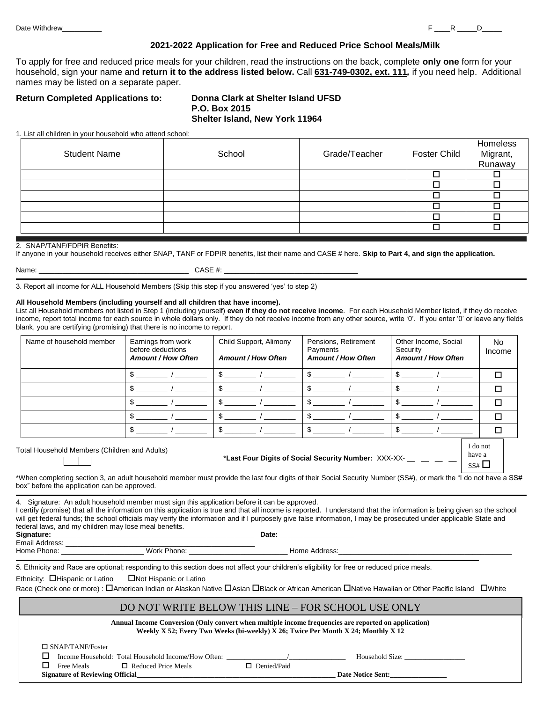#### **2021-2022 Application for Free and Reduced Price School Meals/Milk**

To apply for free and reduced price meals for your children, read the instructions on the back, complete **only one** form for your household, sign your name and **return it to the address listed below.** Call **631-749-0302, ext. 111***,* if you need help. Additional names may be listed on a separate paper.

#### **Return Completed Applications to: Donna Clark at Shelter Island UFSD**

# **P.O. Box 2015 Shelter Island, New York 11964**

1. List all children in your household who attend school:

| <b>Student Name</b> | School | Grade/Teacher | Foster Child | Homeless<br>Migrant,<br>Runaway |
|---------------------|--------|---------------|--------------|---------------------------------|
|                     |        |               |              |                                 |
|                     |        |               |              |                                 |
|                     |        |               |              |                                 |
|                     |        |               |              |                                 |
|                     |        |               |              |                                 |
|                     |        |               |              |                                 |

#### 2. SNAP/TANF/FDPIR Benefits:

If anyone in your household receives either SNAP, TANF or FDPIR benefits, list their name and CASE # here. **Skip to Part 4, and sign the application.**

Name: \_\_\_\_\_\_\_\_\_\_\_\_\_\_\_\_\_\_\_\_\_\_\_\_\_\_\_\_\_\_\_\_\_\_\_\_\_\_ CASE #: \_\_\_\_\_\_\_\_\_\_\_\_\_\_\_\_\_\_\_\_\_\_\_\_\_\_\_\_\_\_\_\_\_\_

3. Report all income for ALL Household Members (Skip this step if you answered 'yes' to step 2)

#### **All Household Members (including yourself and all children that have income).**

List all Household members not listed in Step 1 (including yourself) **even if they do not receive income**. For each Household Member listed, if they do receive income, report total income for each source in whole dollars only. If they do not receive income from any other source, write '0'. If you enter '0' or leave any fields blank, you are certifying (promising) that there is no income to report.

| Name of household member                      | Earnings from work<br>before deductions<br><b>Amount / How Often</b> | Child Support, Alimony<br><b>Amount / How Often</b> | Pensions, Retirement<br>Payments<br><b>Amount / How Often</b> | Other Income, Social<br>Security<br><b>Amount / How Often</b> | No.<br>Income   |
|-----------------------------------------------|----------------------------------------------------------------------|-----------------------------------------------------|---------------------------------------------------------------|---------------------------------------------------------------|-----------------|
|                                               |                                                                      |                                                     |                                                               |                                                               | $\Box$          |
|                                               |                                                                      | \$                                                  |                                                               |                                                               | п               |
|                                               |                                                                      | ጥ                                                   |                                                               |                                                               | п               |
|                                               |                                                                      | \$                                                  |                                                               | \$.                                                           | п               |
|                                               |                                                                      | \$                                                  |                                                               |                                                               |                 |
| Total Household Members (Children and Adults) |                                                                      |                                                     | *Last Four Digits of Social Security Number: XXX-XX-          | have a                                                        | I do not<br>SS# |

\*When completing section 3, an adult household member must provide the last four digits of their Social Security Number (SS#), or mark the "I do not have a SS# box" before the application can be approved.

4. Signature: An adult household member must sign this application before it can be approved. I certify (promise) that all the information on this application is true and that all income is reported. I understand that the information is being given so the school will get federal funds; the school officials may verify the information and if I purposely give false information, I may be prosecuted under applicable State and federal laws, and my children may lose meal benefits. **Signature:** \_\_\_\_\_\_\_\_\_\_\_\_\_\_\_\_\_\_\_\_\_\_\_\_\_\_\_\_\_\_\_\_\_\_\_\_\_\_\_\_\_\_\_\_\_\_\_\_\_\_\_ **Date:** \_\_\_\_\_\_\_\_\_\_\_\_\_\_\_\_\_\_\_ Email Address: \_\_\_\_\_\_\_\_\_\_\_\_\_\_\_\_\_\_\_\_\_\_\_\_\_\_\_\_\_\_\_\_\_\_\_\_\_\_\_\_\_\_\_\_\_\_\_\_ Home Phone: \_\_\_\_\_\_\_\_\_\_\_\_\_\_\_\_\_\_\_\_\_ Work Phone: \_\_\_\_\_\_\_\_\_\_\_\_\_\_\_\_\_\_\_\_\_\_\_\_\_ Home Address:\_\_\_\_\_\_\_\_\_\_\_\_\_\_\_\_\_\_\_\_\_\_\_\_\_\_\_\_\_\_\_\_\_\_\_\_\_\_\_\_\_\_\_\_

5. Ethnicity and Race are optional; responding to this section does not affect your children's eligibility for free or reduced price meals.

Ethnicity: **D**Hispanic or Latino DNot Hispanic or Latino

Race (Check one or more) : **D**American Indian or Alaskan Native DAsian DBlack or African American DNative Hawaiian or Other Pacific Island DWhite

#### DO NOT WRITE BELOW THIS LINE – FOR SCHOOL USE ONLY

| Annual Income Conversion (Only convert when multiple income frequencies are reported on application)<br>Weekly X 52; Every Two Weeks (bi-weekly) X 26; Twice Per Month X 24; Monthly X 12 |                          |  |  |
|-------------------------------------------------------------------------------------------------------------------------------------------------------------------------------------------|--------------------------|--|--|
| $\Box$ SNAP/TANF/Foster                                                                                                                                                                   |                          |  |  |
| Income Household: Total Household Income/How Often:                                                                                                                                       | Household Size:          |  |  |
| <b>Free Meals</b><br>$\Box$ Reduced Price Meals                                                                                                                                           | $\Box$ Denied/Paid       |  |  |
| <b>Signature of Reviewing Official</b>                                                                                                                                                    | <b>Date Notice Sent:</b> |  |  |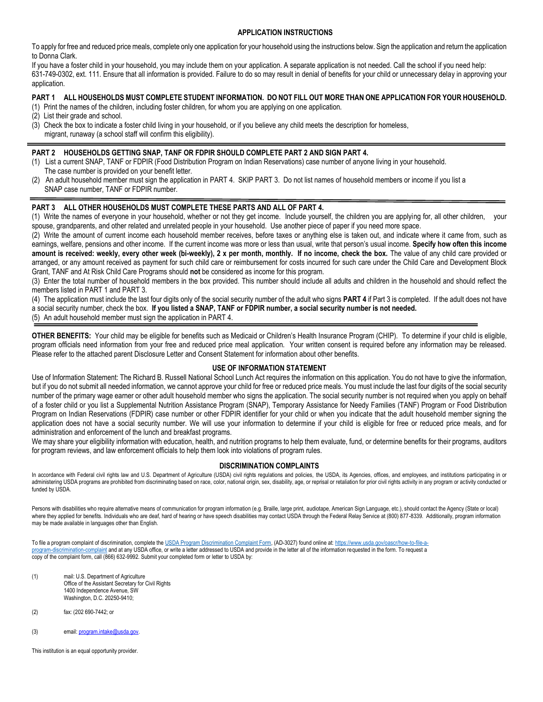#### **APPLICATION INSTRUCTIONS**

To apply for free and reduced price meals, complete only one application for your household using the instructions below. Sign the application and return the application to Donna Clark.

If you have a foster child in your household, you may include them on your application. A separate application is not needed. Call the school if you need help: 631-749-0302, ext. 111. Ensure that all information is provided. Failure to do so may result in denial of benefits for your child or unnecessary delay in approving your application.

#### **PART 1 ALL HOUSEHOLDS MUST COMPLETE STUDENT INFORMATION. DO NOT FILL OUT MORE THAN ONE APPLICATION FOR YOUR HOUSEHOLD.**

- (1) Print the names of the children, including foster children, for whom you are applying on one application.
- (2) List their grade and school.
- (3) Check the box to indicate a foster child living in your household, or if you believe any child meets the description for homeless, migrant, runaway (a school staff will confirm this eligibility).

#### **PART 2 HOUSEHOLDS GETTING SNAP, TANF OR FDPIR SHOULD COMPLETE PART 2 AND SIGN PART 4.**

- (1) List a current SNAP, TANF or FDPIR (Food Distribution Program on Indian Reservations) case number of anyone living in your household. The case number is provided on your benefit letter.
- (2) An adult household member must sign the application in PART 4. SKIP PART 3. Do not list names of household members or income if you list a SNAP case number, TANF or FDPIR number.

#### **PART 3 ALL OTHER HOUSEHOLDS MUST COMPLETE THESE PARTS AND ALL OF PART 4.**

(1) Write the names of everyone in your household, whether or not they get income. Include yourself, the children you are applying for, all other children, your spouse, grandparents, and other related and unrelated people in your household. Use another piece of paper if you need more space.

(2) Write the amount of current income each household member receives, before taxes or anything else is taken out, and indicate where it came from, such as earnings, welfare, pensions and other income. If the current income was more or less than usual, write that person's usual income. **Specify how often this income**  amount is received: weekly, every other week (bi-weekly), 2 x per month, monthly. If no income, check the box. The value of any child care provided or arranged, or any amount received as payment for such child care or reimbursement for costs incurred for such care under the Child Care and Development Block Grant, TANF and At Risk Child Care Programs should **not** be considered as income for this program.

(3) Enter the total number of household members in the box provided. This number should include all adults and children in the household and should reflect the members listed in PART 1 and PART 3.

(4) The application must include the last four digits only of the social security number of the adult who signs **PART 4** if Part 3 is completed. If the adult does not have a social security number, check the box. **If you listed a SNAP, TANF or FDPIR number, a social security number is not needed.** (5) An adult household member must sign the application in PART 4.

**OTHER BENEFITS:** Your child may be eligible for benefits such as Medicaid or Children's Health Insurance Program (CHIP). To determine if your child is eligible, program officials need information from your free and reduced price meal application. Your written consent is required before any information may be released. Please refer to the attached parent Disclosure Letter and Consent Statement for information about other benefits.

#### **USE OF INFORMATION STATEMENT**

Use of Information Statement: The Richard B. Russell National School Lunch Act requires the information on this application. You do not have to give the information, but if you do not submit all needed information, we cannot approve your child for free or reduced price meals. You must include the last four digits of the social security number of the primary wage earner or other adult household member who signs the application. The social security number is not required when you apply on behalf of a foster child or you list a Supplemental Nutrition Assistance Program (SNAP), Temporary Assistance for Needy Families (TANF) Program or Food Distribution Program on Indian Reservations (FDPIR) case number or other FDPIR identifier for your child or when you indicate that the adult household member signing the application does not have a social security number. We will use your information to determine if your child is eligible for free or reduced price meals, and for administration and enforcement of the lunch and breakfast programs.

We may share your eligibility information with education, health, and nutrition programs to help them evaluate, fund, or determine benefits for their programs, auditors for program reviews, and law enforcement officials to help them look into violations of program rules.

#### **DISCRIMINATION COMPLAINTS**

In accordance with Federal civil rights law and U.S. Department of Agriculture (USDA) civil rights regulations and policies, the USDA, its Agencies, offices, and employees, and institutions participating in or administering USDA programs are prohibited from discriminating based on race, color, national origin, sex, disability, age, or reprisal or retaliation for prior civil rights activity in any program or activity conducted or funded by USDA.

Persons with disabilities who require alternative means of communication for program information (e.g. Braille, large print, audiotape, American Sign Language, etc.), should contact the Agency (State or local) where they applied for benefits. Individuals who are deaf, hard of hearing or have speech disabilities may contact USDA through the Federal Relay Service at (800) 877-8339. Additionally, program information may be made available in languages other than English.

To file a program complaint of discrimination, complete the [USDA Program Discrimination Complaint Form,](http://www.ocio.usda.gov/sites/default/files/docs/2012/Complain_combined_6_8_12.pdf) (AD-3027) found online at: [https://www.usda.gov/oascr/how-to-file-a](https://www.usda.gov/oascr/how-to-file-a-program-discrimination-complaint)[program-discrimination-complaint](https://www.usda.gov/oascr/how-to-file-a-program-discrimination-complaint) and at any USDA office, or write a letter addressed to USDA and provide in the letter all of the information requested in the form. To request a copy of the complaint form, call (866) 632-9992. Submit your completed form or letter to USDA by:

- (1) mail: U.S. Department of Agriculture Office of the Assistant Secretary for Civil Rights 1400 Independence Avenue, SW Washington, D.C. 20250-9410;
- (2) fax: (202 690-7442; or
- (3) email[: program.intake@usda.gov.](mailto:program.intake@usda.gov)

This institution is an equal opportunity provider.